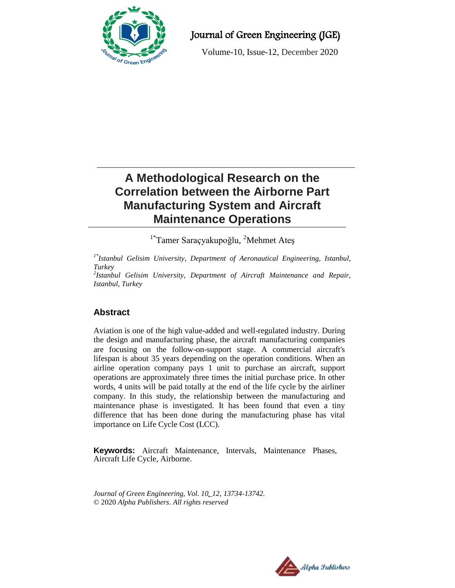

# Journal of Green Engineering (JGE)

Volume-10, Issue-12, December 2020

# **A Methodological Research on the Correlation between the Airborne Part Manufacturing System and Aircraft Maintenance Operations**

<sup>1\*</sup>Tamer Saraçyakupoğlu, <sup>2</sup>Mehmet Ateş

*1\*Istanbul Gelisim University, Department of Aeronautical Engineering, Istanbul, Turkey*

*2 Istanbul Gelisim University, Department of Aircraft Maintenance and Repair, Istanbul, Turkey*

# **Abstract**

Aviation is one of the high value-added and well-regulated industry. During the design and manufacturing phase, the aircraft manufacturing companies are focusing on the follow-on-support stage. A commercial aircraft's lifespan is about 35 years depending on the operation conditions. When an airline operation company pays 1 unit to purchase an aircraft, support operations are approximately three times the initial purchase price. In other words, 4 units will be paid totally at the end of the life cycle by the airliner company. In this study, the relationship between the manufacturing and maintenance phase is investigated. It has been found that even a tiny difference that has been done during the manufacturing phase has vital importance on Life Cycle Cost (LCC).

**Keywords:** Aircraft Maintenance, Intervals, Maintenance Phases, Aircraft Life Cycle, Airborne.

*Journal of Green Engineering, Vol. 10\_12, 13734-13742.* © 2020 *Alpha Publishers. All rights reserved*

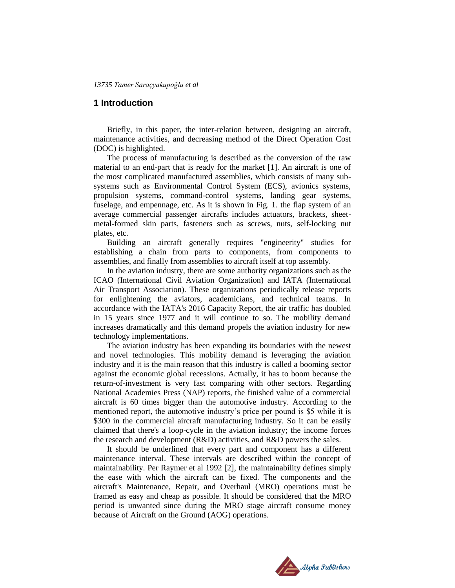# **1 Introduction**

Briefly, in this paper, the inter-relation between, designing an aircraft, maintenance activities, and decreasing method of the Direct Operation Cost (DOC) is highlighted.

The process of manufacturing is described as the conversion of the raw material to an end-part that is ready for the market [1]. An aircraft is one of the most complicated manufactured assemblies, which consists of many subsystems such as Environmental Control System (ECS), avionics systems, propulsion systems, command-control systems, landing gear systems, fuselage, and empennage, etc. As it is shown in Fig. 1. the flap system of an average commercial passenger aircrafts includes actuators, brackets, sheetmetal-formed skin parts, fasteners such as screws, nuts, self-locking nut plates, etc.

Building an aircraft generally requires "engineerity" studies for establishing a chain from parts to components, from components to assemblies, and finally from assemblies to aircraft itself at top assembly.

In the aviation industry, there are some authority organizations such as the ICAO (International Civil Aviation Organization) and IATA (International Air Transport Association). These organizations periodically release reports for enlightening the aviators, academicians, and technical teams. In accordance with the IATA's 2016 Capacity Report, the air traffic has doubled in 15 years since 1977 and it will continue to so. The mobility demand increases dramatically and this demand propels the aviation industry for new technology implementations.

The aviation industry has been expanding its boundaries with the newest and novel technologies. This mobility demand is leveraging the aviation industry and it is the main reason that this industry is called a booming sector against the economic global recessions. Actually, it has to boom because the return-of-investment is very fast comparing with other sectors. Regarding National Academies Press (NAP) reports, the finished value of a commercial aircraft is 60 times bigger than the automotive industry. According to the mentioned report, the automotive industry's price per pound is \$5 while it is \$300 in the commercial aircraft manufacturing industry. So it can be easily claimed that there's a loop-cycle in the aviation industry; the income forces the research and development (R&D) activities, and R&D powers the sales.

It should be underlined that every part and component has a different maintenance interval. These intervals are described within the concept of maintainability. Per Raymer et al 1992 [2], the maintainability defines simply the ease with which the aircraft can be fixed. The components and the aircraft's Maintenance, Repair, and Overhaul (MRO) operations must be framed as easy and cheap as possible. It should be considered that the MRO period is unwanted since during the MRO stage aircraft consume money because of Aircraft on the Ground (AOG) operations.

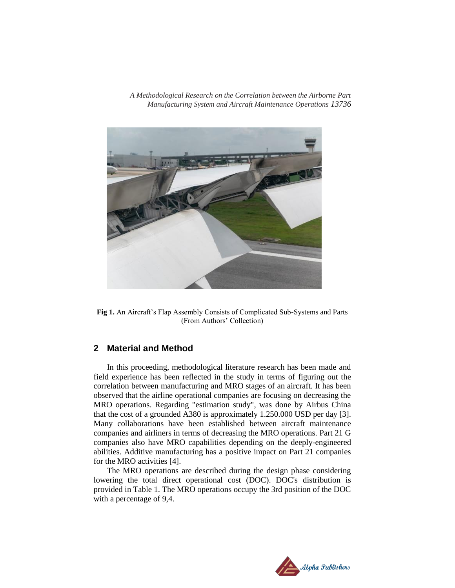

**Fig 1.** An Aircraft's Flap Assembly Consists of Complicated Sub-Systems and Parts (From Authors' Collection)

# **2 Material and Method**

In this proceeding, methodological literature research has been made and field experience has been reflected in the study in terms of figuring out the correlation between manufacturing and MRO stages of an aircraft. It has been observed that the airline operational companies are focusing on decreasing the MRO operations. Regarding "estimation study", was done by Airbus China that the cost of a grounded A380 is approximately 1.250.000 USD per day [3]. Many collaborations have been established between aircraft maintenance companies and airliners in terms of decreasing the MRO operations. Part 21 G companies also have MRO capabilities depending on the deeply-engineered abilities. Additive manufacturing has a positive impact on Part 21 companies for the MRO activities [4].

The MRO operations are described during the design phase considering lowering the total direct operational cost (DOC). DOC's distribution is provided in Table 1. The MRO operations occupy the 3rd position of the DOC with a percentage of 9,4.

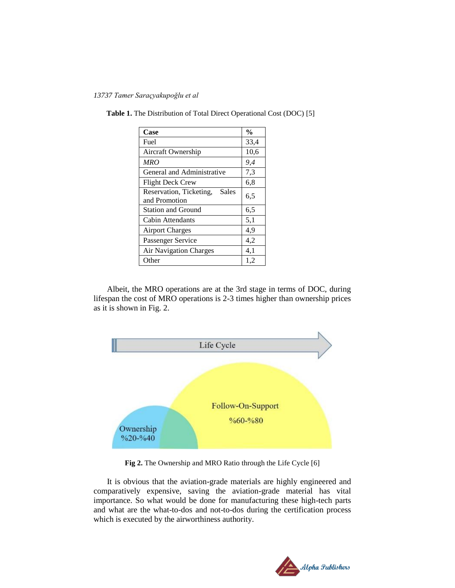*13737 Tamer Saraçyakupoğlu et al* 

| Case                                              | $\frac{0}{0}$ |
|---------------------------------------------------|---------------|
| Fuel                                              | 33,4          |
| Aircraft Ownership                                | 10,6          |
| MRO                                               | 9,4           |
| General and Administrative                        | 7,3           |
| Flight Deck Crew                                  | 6,8           |
| Reservation, Ticketing,<br>Sales<br>and Promotion | 6,5           |
| <b>Station and Ground</b>                         | 6,5           |
| Cabin Attendants                                  | 5,1           |
| <b>Airport Charges</b>                            | 4,9           |
| Passenger Service                                 | 4,2           |
| <b>Air Navigation Charges</b>                     | 4,1           |
| Other                                             | 1,2           |

**Table 1.** The Distribution of Total Direct Operational Cost (DOC) [5]

Albeit, the MRO operations are at the 3rd stage in terms of DOC, during lifespan the cost of MRO operations is 2-3 times higher than ownership prices as it is shown in Fig. 2.



**Fig 2.** The Ownership and MRO Ratio through the Life Cycle [6]

It is obvious that the aviation-grade materials are highly engineered and comparatively expensive, saving the aviation-grade material has vital importance. So what would be done for manufacturing these high-tech parts and what are the what-to-dos and not-to-dos during the certification process which is executed by the airworthiness authority.

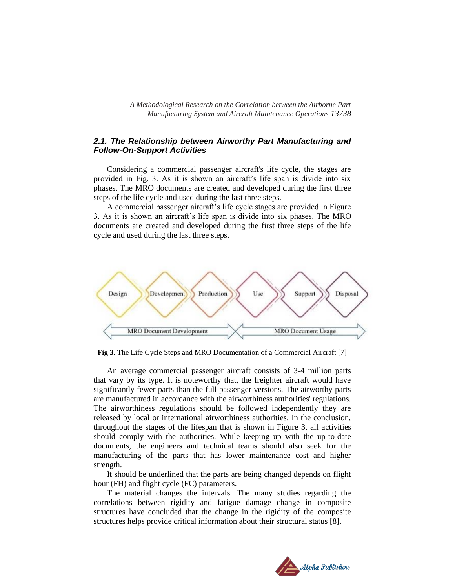## *2.1. The Relationship between Airworthy Part Manufacturing and Follow-On-Support Activities*

Considering a commercial passenger aircraft's life cycle, the stages are provided in Fig. 3. As it is shown an aircraft's life span is divide into six phases. The MRO documents are created and developed during the first three steps of the life cycle and used during the last three steps.

A commercial passenger aircraft's life cycle stages are provided in Figure 3. As it is shown an aircraft's life span is divide into six phases. The MRO documents are created and developed during the first three steps of the life cycle and used during the last three steps.



**Fig 3.** The Life Cycle Steps and MRO Documentation of a Commercial Aircraft [7]

An average commercial passenger aircraft consists of 3-4 million parts that vary by its type. It is noteworthy that, the freighter aircraft would have significantly fewer parts than the full passenger versions. The airworthy parts are manufactured in accordance with the airworthiness authorities' regulations. The airworthiness regulations should be followed independently they are released by local or international airworthiness authorities. In the conclusion, throughout the stages of the lifespan that is shown in Figure 3, all activities should comply with the authorities. While keeping up with the up-to-date documents, the engineers and technical teams should also seek for the manufacturing of the parts that has lower maintenance cost and higher strength.

It should be underlined that the parts are being changed depends on flight hour (FH) and flight cycle (FC) parameters.

The material changes the intervals. The many studies regarding the correlations between rigidity and fatigue damage change in composite structures have concluded that the change in the rigidity of the composite structures helps provide critical information about their structural status [8].

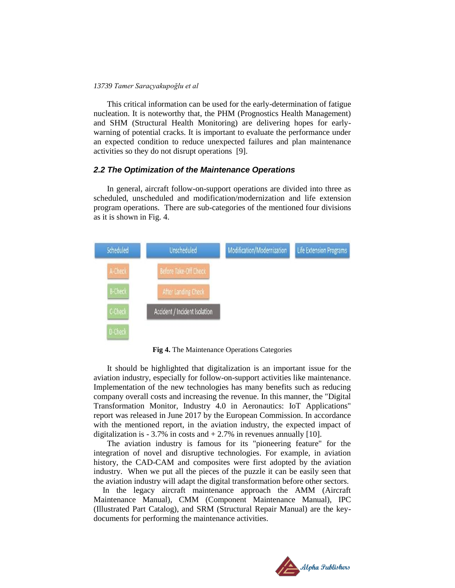#### *13739 Tamer Saraçyakupoğlu et al*

This critical information can be used for the early-determination of fatigue nucleation. It is noteworthy that, the PHM (Prognostics Health Management) and SHM (Structural Health Monitoring) are delivering hopes for earlywarning of potential cracks. It is important to evaluate the performance under an expected condition to reduce unexpected failures and plan maintenance activities so they do not disrupt operations [9].

#### *2.2 The Optimization of the Maintenance Operations*

In general, aircraft follow-on-support operations are divided into three as scheduled, unscheduled and modification/modernization and life extension program operations. There are sub-categories of the mentioned four divisions as it is shown in Fig. 4.



**Fig 4.** The Maintenance Operations Categories

It should be highlighted that digitalization is an important issue for the aviation industry, especially for follow-on-support activities like maintenance. Implementation of the new technologies has many benefits such as reducing company overall costs and increasing the revenue. In this manner, the "Digital Transformation Monitor, Industry 4.0 in Aeronautics: IoT Applications" report was released in June 2017 by the European Commission. In accordance with the mentioned report, in the aviation industry, the expected impact of digitalization is - 3.7% in costs and  $+ 2.7$ % in revenues annually [10].

The aviation industry is famous for its "pioneering feature" for the integration of novel and disruptive technologies. For example, in aviation history, the CAD-CAM and composites were first adopted by the aviation industry. When we put all the pieces of the puzzle it can be easily seen that the aviation industry will adapt the digital transformation before other sectors.

 In the legacy aircraft maintenance approach the AMM (Aircraft Maintenance Manual), CMM (Component Maintenance Manual), IPC (Illustrated Part Catalog), and SRM (Structural Repair Manual) are the keydocuments for performing the maintenance activities.

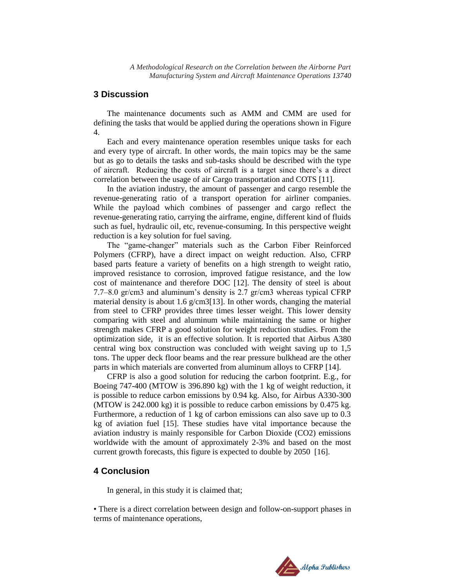# **3 Discussion**

The maintenance documents such as AMM and CMM are used for defining the tasks that would be applied during the operations shown in Figure 4.

Each and every maintenance operation resembles unique tasks for each and every type of aircraft. In other words, the main topics may be the same but as go to details the tasks and sub-tasks should be described with the type of aircraft. Reducing the costs of aircraft is a target since there's a direct correlation between the usage of air Cargo transportation and COTS [11].

In the aviation industry, the amount of passenger and cargo resemble the revenue-generating ratio of a transport operation for airliner companies. While the payload which combines of passenger and cargo reflect the revenue-generating ratio, carrying the airframe, engine, different kind of fluids such as fuel, hydraulic oil, etc, revenue-consuming. In this perspective weight reduction is a key solution for fuel saving.

The "game-changer" materials such as the Carbon Fiber Reinforced Polymers (CFRP), have a direct impact on weight reduction. Also, CFRP based parts feature a variety of benefits on a high strength to weight ratio, improved resistance to corrosion, improved fatigue resistance, and the low cost of maintenance and therefore DOC [12]. The density of steel is about 7.7–8.0 gr/cm3 and aluminum's density is 2.7 gr/cm3 whereas typical CFRP material density is about 1.6 g/cm3[13]. In other words, changing the material from steel to CFRP provides three times lesser weight. This lower density comparing with steel and aluminum while maintaining the same or higher strength makes CFRP a good solution for weight reduction studies. From the optimization side, it is an effective solution. It is reported that Airbus A380 central wing box construction was concluded with weight saving up to 1,5 tons. The upper deck floor beams and the rear pressure bulkhead are the other parts in which materials are converted from aluminum alloys to CFRP [14].

CFRP is also a good solution for reducing the carbon footprint. E.g., for Boeing 747-400 (MTOW is 396.890 kg) with the 1 kg of weight reduction, it is possible to reduce carbon emissions by 0.94 kg. Also, for Airbus A330-300 (MTOW is 242.000 kg) it is possible to reduce carbon emissions by 0.475 kg. Furthermore, a reduction of 1 kg of carbon emissions can also save up to 0.3 kg of aviation fuel [15]. These studies have vital importance because the aviation industry is mainly responsible for Carbon Dioxide (CO2) emissions worldwide with the amount of approximately 2-3% and based on the most current growth forecasts, this figure is expected to double by 2050 [16].

# **4 Conclusion**

In general, in this study it is claimed that;

• There is a direct correlation between design and follow-on-support phases in terms of maintenance operations,

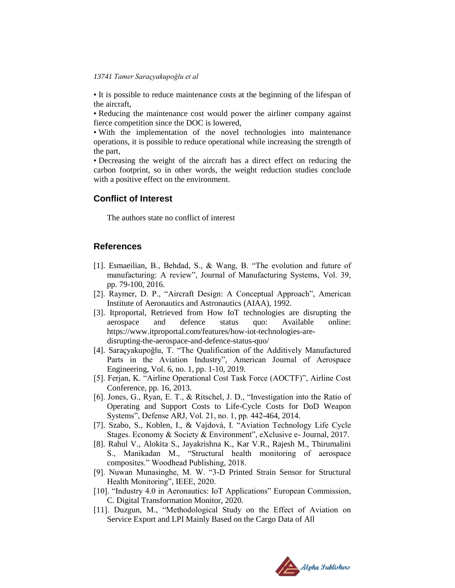#### *13741 Tamer Saraçyakupoğlu et al*

• It is possible to reduce maintenance costs at the beginning of the lifespan of the aircraft,

• Reducing the maintenance cost would power the airliner company against fierce competition since the DOC is lowered,

• With the implementation of the novel technologies into maintenance operations, it is possible to reduce operational while increasing the strength of the part,

• Decreasing the weight of the aircraft has a direct effect on reducing the carbon footprint, so in other words, the weight reduction studies conclude with a positive effect on the environment.

# **Conflict of Interest**

The authors state no conflict of interest

# **References**

- [1]. Esmaeilian, B., Behdad, S., & Wang, B. "The evolution and future of manufacturing: A review", Journal of Manufacturing Systems, Vol. 39, pp. 79-100, 2016.
- [2]. Raymer, D. P., "Aircraft Design: A Conceptual Approach", American Institute of Aeronautics and Astronautics (AIAA), 1992.
- [3]. Itproportal, Retrieved from How IoT technologies are disrupting the aerospace and defence status quo: Available online: https://www.itproportal.com/features/how-iot-technologies-aredisrupting-the-aerospace-and-defence-status-quo/
- [4]. Saraçyakupoğlu, T. "The Qualification of the Additively Manufactured Parts in the Aviation Industry", American Journal of Aerospace Engineering, Vol. 6, no. 1, pp. 1-10, 2019.
- [5]. Ferjan, K. "Airline Operational Cost Task Force (AOCTF)", Airline Cost Conference, pp. 16, 2013.
- [6]. Jones, G., Ryan, E. T., & Ritschel, J. D., "Investigation into the Ratio of Operating and Support Costs to Life-Cycle Costs for DoD Weapon Systems", Defense ARJ, Vol. 21, no. 1, pp. 442-464, 2014.
- [7]. Szabo, S., Koblen, I., & Vajdová, I. "Aviation Technology Life Cycle Stages. Economy & Society & Environment", eXclusive e- Journal, 2017.
- [8]. Rahul V., Alokita S., Jayakrishna K., Kar V.R., Rajesh M., Thirumalini S., Manikadan M., "Structural health monitoring of aerospace composites." Woodhead Publishing, 2018.
- [9]. Nuwan Munasinghe, M. W. "3-D Printed Strain Sensor for Structural Health Monitoring", IEEE, 2020.
- [10]. "Industry 4.0 in Aeronautics: IoT Applications" European Commission, C. Digital Transformation Monitor, 2020.
- [11]. Duzgun, M., "Methodological Study on the Effect of Aviation on Service Export and LPI Mainly Based on the Cargo Data of All